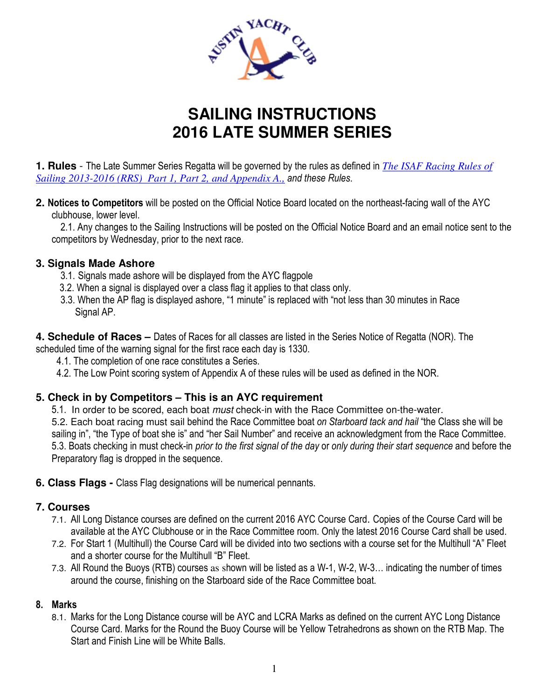

# **SAILING INSTRUCTIONS 2016 LATE SUMMER SERIES**

**1. Rules** - The Late Summer Series Regatta will be governed by the rules as defined in *The ISAF Racing Rules of Sailing 2013-2016 (RRS) Part 1, Part 2, and Appendix A., and these Rules*.

**2. Notices to Competitors** will be posted on the Official Notice Board located on the northeast-facing wall of the AYC clubhouse, lower level.

 2.1. Any changes to the Sailing Instructions will be posted on the Official Notice Board and an email notice sent to the competitors by Wednesday, prior to the next race.

## **3. Signals Made Ashore**

- 3.1. Signals made ashore will be displayed from the AYC flagpole
- 3.2. When a signal is displayed over a class flag it applies to that class only.
- 3.3. When the AP flag is displayed ashore, "1 minute" is replaced with "not less than 30 minutes in Race Signal AP.

**4. Schedule of Races –** Dates of Races for all classes are listed in the Series Notice of Regatta (NOR). The scheduled time of the warning signal for the first race each day is 1330.

- 4.1. The completion of one race constitutes a Series.
- 4.2. The Low Point scoring system of Appendix A of these rules will be used as defined in the NOR.

## **5. Check in by Competitors – This is an AYC requirement**

5.1. In order to be scored, each boat *must* check-in with the Race Committee on-the-water. 5.2. Each boat racing must sail behind the Race Committee boat *on Starboard tack and hail* "the Class she will be sailing in", "the Type of boat she is" and "her Sail Number" and receive an acknowledgment from the Race Committee. 5.3. Boats checking in must check-in *prior to the first signal of the day* or *only during their start sequence* and before the Preparatory flag is dropped in the sequence.

**6. Class Flags -** Class Flag designations will be numerical pennants.

## **7. Courses**

- 7.1. All Long Distance courses are defined on the current 2016 AYC Course Card. Copies of the Course Card will be available at the AYC Clubhouse or in the Race Committee room. Only the latest 2016 Course Card shall be used.
- 7.2. For Start 1 (Multihull) the Course Card will be divided into two sections with a course set for the Multihull "A" Fleet and a shorter course for the Multihull "B" Fleet.
- 7.3. All Round the Buoys (RTB) courses as shown will be listed as a W-1, W-2, W-3… indicating the number of times around the course, finishing on the Starboard side of the Race Committee boat.

## **8. Marks**

8.1. Marks for the Long Distance course will be AYC and LCRA Marks as defined on the current AYC Long Distance Course Card. Marks for the Round the Buoy Course will be Yellow Tetrahedrons as shown on the RTB Map. The Start and Finish Line will be White Balls.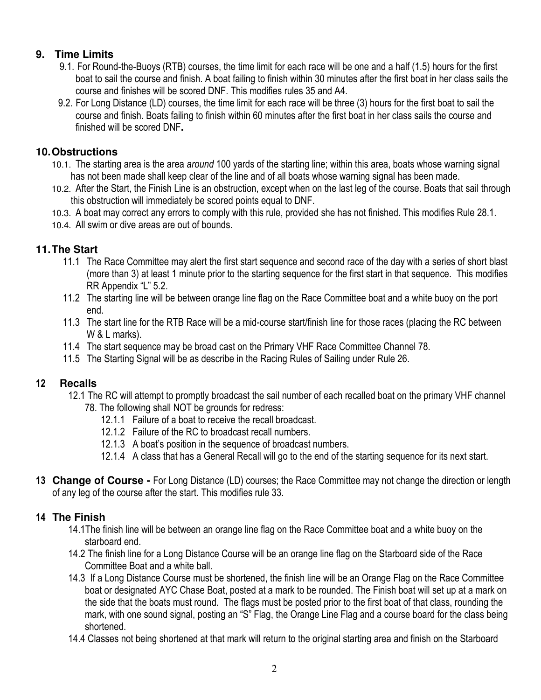# **9. Time Limits**

- 9.1. For Round-the-Buoys (RTB) courses, the time limit for each race will be one and a half (1.5) hours for the first boat to sail the course and finish. A boat failing to finish within 30 minutes after the first boat in her class sails the course and finishes will be scored DNF. This modifies rules 35 and A4.
- 9.2. For Long Distance (LD) courses, the time limit for each race will be three (3) hours for the first boat to sail the course and finish. Boats failing to finish within 60 minutes after the first boat in her class sails the course and finished will be scored DNF**.**

## **10. Obstructions**

- 10.1. The starting area is the area *around* 100 yards of the starting line; within this area, boats whose warning signal has not been made shall keep clear of the line and of all boats whose warning signal has been made.
- 10.2. After the Start, the Finish Line is an obstruction, except when on the last leg of the course. Boats that sail through this obstruction will immediately be scored points equal to DNF.
- 10.3. A boat may correct any errors to comply with this rule, provided she has not finished. This modifies Rule 28.1.
- 10.4. All swim or dive areas are out of bounds.

# **11. The Start**

- 11.1 The Race Committee may alert the first start sequence and second race of the day with a series of short blast (more than 3) at least 1 minute prior to the starting sequence for the first start in that sequence. This modifies RR Appendix "L" 5.2.
- 11.2 The starting line will be between orange line flag on the Race Committee boat and a white buoy on the port end.
- 11.3 The start line for the RTB Race will be a mid-course start/finish line for those races (placing the RC between W & L marks).
- 11.4 The start sequence may be broad cast on the Primary VHF Race Committee Channel 78.
- 11.5 The Starting Signal will be as describe in the Racing Rules of Sailing under Rule 26.

# **12 Recalls**

- 12.1 The RC will attempt to promptly broadcast the sail number of each recalled boat on the primary VHF channel 78. The following shall NOT be grounds for redress:
	- 12.1.1 Failure of a boat to receive the recall broadcast.
	- 12.1.2 Failure of the RC to broadcast recall numbers.
	- 12.1.3 A boat's position in the sequence of broadcast numbers.
	- 12.1.4 A class that has a General Recall will go to the end of the starting sequence for its next start.
- **13 Change of Course** For Long Distance (LD) courses; the Race Committee may not change the direction or length of any leg of the course after the start. This modifies rule 33.

# **14 The Finish**

- 14.1The finish line will be between an orange line flag on the Race Committee boat and a white buoy on the starboard end.
- 14.2 The finish line for a Long Distance Course will be an orange line flag on the Starboard side of the Race Committee Boat and a white ball.
- 14.3 If a Long Distance Course must be shortened, the finish line will be an Orange Flag on the Race Committee boat or designated AYC Chase Boat, posted at a mark to be rounded. The Finish boat will set up at a mark on the side that the boats must round. The flags must be posted prior to the first boat of that class, rounding the mark, with one sound signal, posting an "S" Flag, the Orange Line Flag and a course board for the class being shortened.
- 14.4 Classes not being shortened at that mark will return to the original starting area and finish on the Starboard